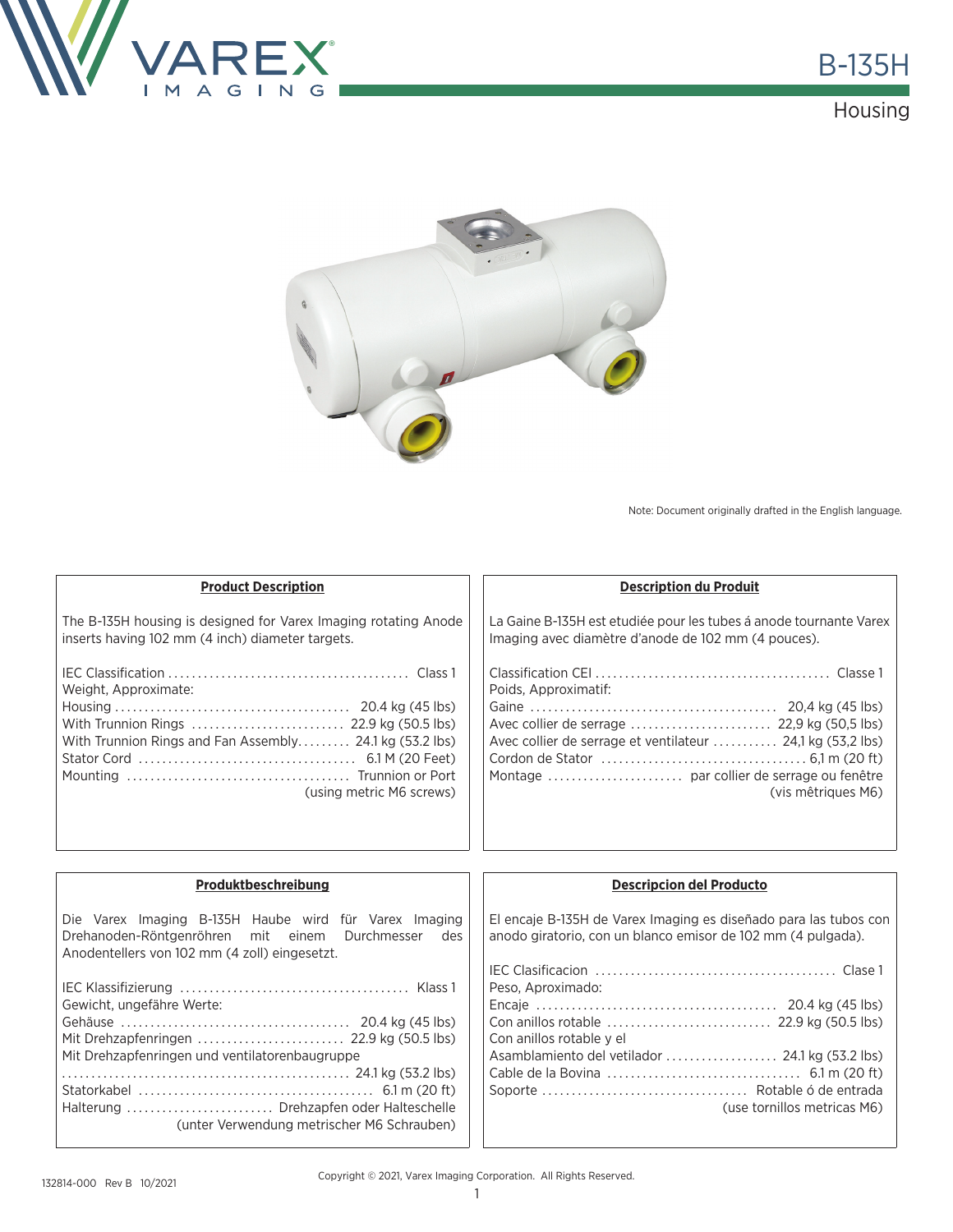

## Housing



Note: Document originally drafted in the English language.

Soporte ................................... Rotable ó de entrada

(use tornillos metricas M6)

| <b>Product Description</b>                                                                                                                                      | <b>Description du Produit</b>                                                                                                    |  |
|-----------------------------------------------------------------------------------------------------------------------------------------------------------------|----------------------------------------------------------------------------------------------------------------------------------|--|
| The B-135H housing is designed for Varex Imaging rotating Anode<br>inserts having 102 mm (4 inch) diameter targets.                                             | La Gaine B-135H est etudiée pour les tubes á anode tournante Varex<br>Imaging avec diamètre d'anode de 102 mm (4 pouces).        |  |
| Weight, Approximate:                                                                                                                                            | Poids, Approximatif:                                                                                                             |  |
| With Trunnion Rings  22.9 kg (50.5 lbs)<br>With Trunnion Rings and Fan Assembly 24.1 kg (53.2 lbs)<br>(using metric M6 screws)                                  | Avec collier de serrage et ventilateur  24,1 kg (53,2 lbs)<br>(vis mêtriques M6)                                                 |  |
|                                                                                                                                                                 |                                                                                                                                  |  |
| Produktbeschreibung                                                                                                                                             | <b>Descripcion del Producto</b>                                                                                                  |  |
| Die Varex Imaging B-135H Haube wird für Varex Imaging<br>Drehanoden-Röntgenröhren mit einem Durchmesser<br>des<br>Anodentellers von 102 mm (4 zoll) eingesetzt. | El encaje B-135H de Varex Imaging es diseñado para las tubos con<br>anodo giratorio, con un blanco emisor de 102 mm (4 pulgada). |  |
|                                                                                                                                                                 | Peso, Aproximado:                                                                                                                |  |
| Gewicht, ungefähre Werte:                                                                                                                                       | Con anillos rotable y el                                                                                                         |  |
| Mit Drehzapfenringen und ventilatorenbaugruppe                                                                                                                  |                                                                                                                                  |  |

Statorkabel ........................................ 6.1 m (20 ft) Halterung ......................... Drehzapfen oder Halteschelle

(unter Verwendung metrischer M6 Schrauben)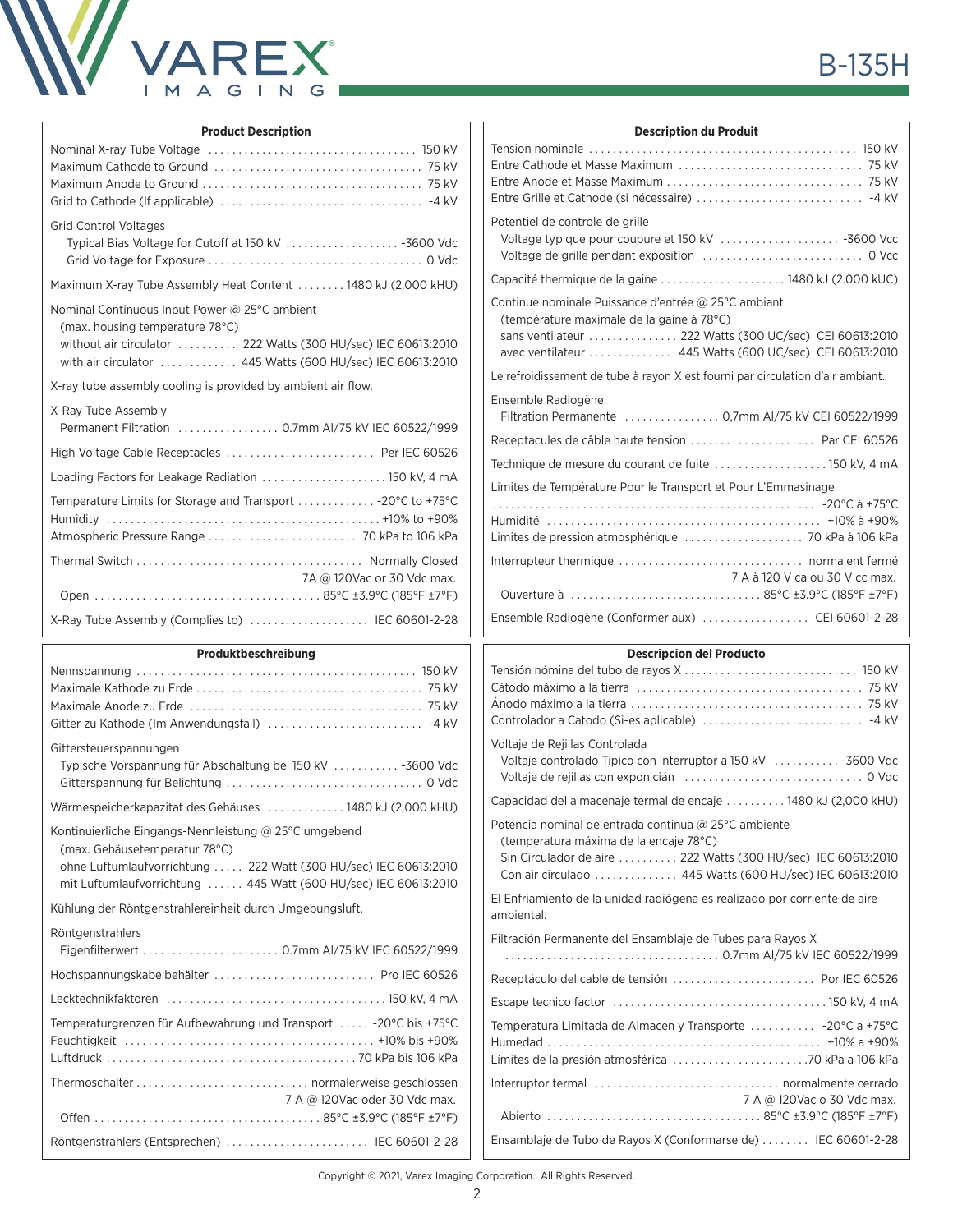

| <b>Product Description</b>                                                                                                                                                                                      | <b>Description du Produit</b>                                                                                                                                                                                               |
|-----------------------------------------------------------------------------------------------------------------------------------------------------------------------------------------------------------------|-----------------------------------------------------------------------------------------------------------------------------------------------------------------------------------------------------------------------------|
|                                                                                                                                                                                                                 |                                                                                                                                                                                                                             |
| <b>Grid Control Voltages</b>                                                                                                                                                                                    | Potentiel de controle de grille                                                                                                                                                                                             |
| Maximum X-ray Tube Assembly Heat Content  1480 kJ (2,000 kHU)                                                                                                                                                   | Capacité thermique de la gaine  1480 kJ (2.000 kUC)                                                                                                                                                                         |
| Nominal Continuous Input Power @ 25°C ambient<br>(max. housing temperature 78°C)<br>without air circulator  222 Watts (300 HU/sec) IEC 60613:2010<br>with air circulator  445 Watts (600 HU/sec) IEC 60613:2010 | Continue nominale Puissance d'entrée @ 25°C ambiant<br>(température maximale de la gaine à 78°C)<br>sans ventilateur  222 Watts (300 UC/sec) CEI 60613:2010<br>avec ventilateur  445 Watts (600 UC/sec) CEI 60613:2010      |
| X-ray tube assembly cooling is provided by ambient air flow.                                                                                                                                                    | Le refroidissement de tube à rayon X est fourni par circulation d'air ambiant.                                                                                                                                              |
| X-Ray Tube Assembly                                                                                                                                                                                             | Ensemble Radiogène<br>Filtration Permanente  0,7mm AI/75 kV CEI 60522/1999                                                                                                                                                  |
| High Voltage Cable Receptacles  Per IEC 60526                                                                                                                                                                   | Receptacules de câble haute tension  Par CEI 60526                                                                                                                                                                          |
| Loading Factors for Leakage Radiation  150 kV, 4 mA                                                                                                                                                             | Technique de mesure du courant de fuite 150 kV. 4 mA                                                                                                                                                                        |
| Temperature Limits for Storage and Transport  - 20°C to +75°C                                                                                                                                                   | Limites de Température Pour le Transport et Pour L'Emmasinage                                                                                                                                                               |
| Atmospheric Pressure Range  70 kPa to 106 kPa                                                                                                                                                                   | Limites de pression atmosphérique  70 kPa à 106 kPa                                                                                                                                                                         |
| 7A @ 120Vac or 30 Vdc max.                                                                                                                                                                                      | 7 A à 120 V ca ou 30 V cc max.                                                                                                                                                                                              |
|                                                                                                                                                                                                                 |                                                                                                                                                                                                                             |
| X-Ray Tube Assembly (Complies to)  IEC 60601-2-28                                                                                                                                                               | Ensemble Radiogène (Conformer aux)  CEI 60601-2-28                                                                                                                                                                          |
| Produktbeschreibung                                                                                                                                                                                             | <b>Descripcion del Producto</b>                                                                                                                                                                                             |
|                                                                                                                                                                                                                 |                                                                                                                                                                                                                             |
| Gittersteuerspannungen<br>Typische Vorspannung für Abschaltung bei 150 kV  -3600 Vdc                                                                                                                            | Voltaje de Rejillas Controlada                                                                                                                                                                                              |
|                                                                                                                                                                                                                 | Voltaje controlado Tipico con interruptor a 150 kV  -3600 Vdc                                                                                                                                                               |
|                                                                                                                                                                                                                 | Capacidad del almacenaje termal de encaje  1480 kJ (2,000 kHU)                                                                                                                                                              |
| (max. Gehäusetemperatur 78°C)<br>ohne Luftumlaufvorrichtung  222 Watt (300 HU/sec) IEC 60613:2010<br>mit Luftumlaufvorrichtung  445 Watt (600 HU/sec) IEC 60613:2010                                            | Potencia nominal de entrada continua @ 25°C ambiente<br>(temperatura máxima de la encaje 78°C)<br>Sin Circulador de aire  222 Watts (300 HU/sec) IEC 60613:2010<br>Con air circulado  445 Watts (600 HU/sec) IEC 60613:2010 |
|                                                                                                                                                                                                                 | El Enfriamiento de la unidad radiógena es realizado por corriente de aire                                                                                                                                                   |
|                                                                                                                                                                                                                 | ambiental.<br>Filtración Permanente del Ensamblaje de Tubes para Rayos X                                                                                                                                                    |
|                                                                                                                                                                                                                 |                                                                                                                                                                                                                             |
| Kontinuierliche Eingangs-Nennleistung @ 25°C umgebend<br>Kühlung der Röntgenstrahlereinheit durch Umgebungsluft.<br>Röntgenstrahlers                                                                            | Receptáculo del cable de tensión  Por IEC 60526                                                                                                                                                                             |
| Wärmespeicherkapazitat des Gehäuses  1480 kJ (2,000 kHU)<br>Hochspannungskabelbehälter  Pro IEC 60526<br>Temperaturgrenzen für Aufbewahrung und Transport  - 20°C bis +75°C                                     | Temperatura Limitada de Almacen y Transporte  -20°C a +75°C                                                                                                                                                                 |
| 7 A @ 120Vac oder 30 Vdc max.                                                                                                                                                                                   | 7 A @ 120Vac o 30 Vdc max.                                                                                                                                                                                                  |

### **Produit**

Copyright © 2021, Varex Imaging Corporation. All Rights Reserved.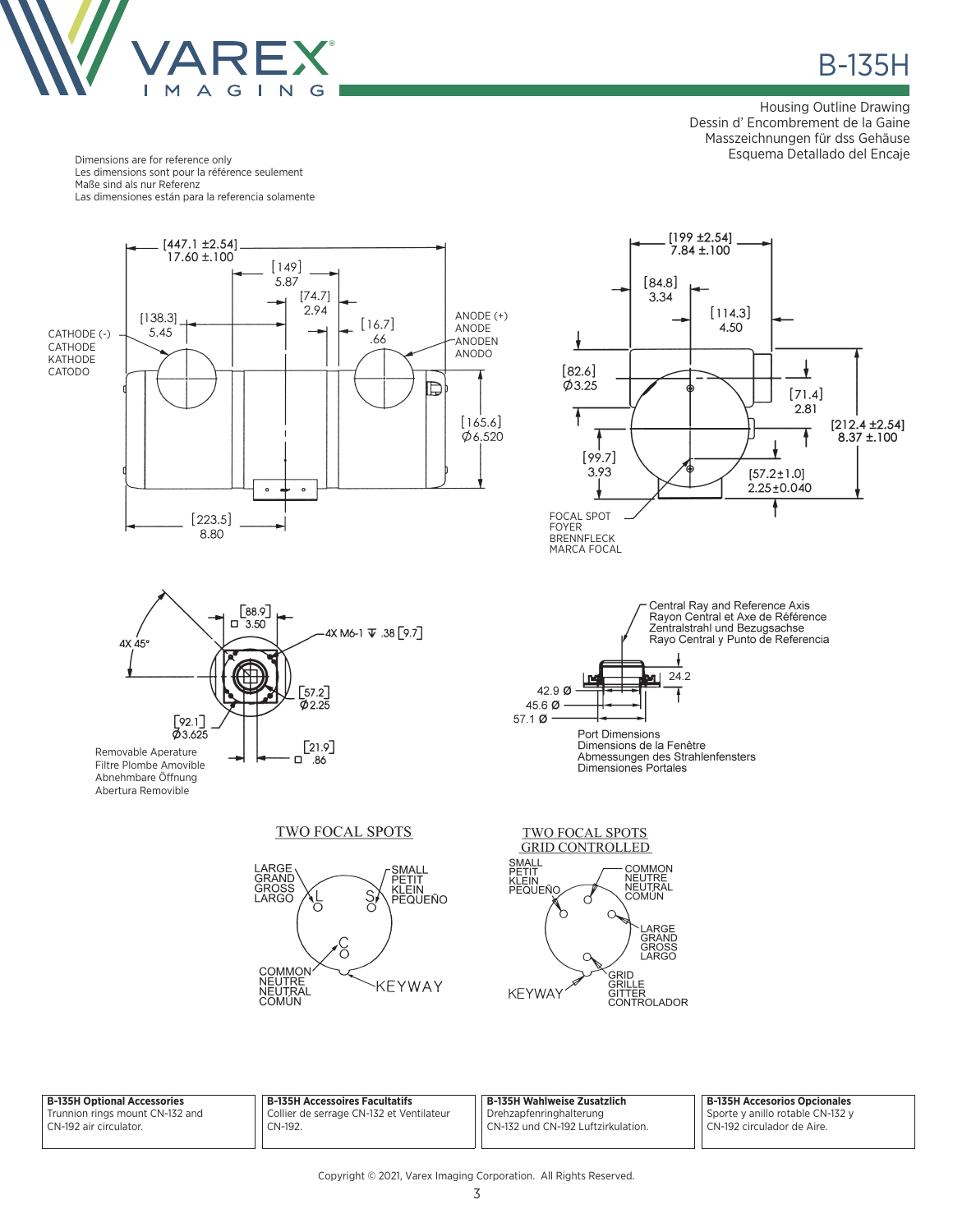

**B-135H** 

Housing Outline Drawing Dessin d' Encombrement de la Gaine Masszeichnungen für dss Gehäuse Esquema Detallado del Encaje

ł

 $[71.4]$ 2.81

 $[57.2 \pm 1.0]$ 

 $2.25 \pm 0.040$ 

 $[212.4 \pm 2.54]$ <br>8.37 ±.100

 $[114.3]$ 

4.50

Dimensions are for reference only Les dimensions sont pour la référence seulement Maße sind als nur Referenz Las dimensiones están para la referencia solamente

Filtre Plombe Amovible Abnehmbare Öffnung Abertura Removible



Dimensions de la Fenêtre Abmessungen des Strahlenfensters<br>Dimensiones Portales

TWO FOCAL SPOTS





| <b>B-135H Optional Accessories</b>                        | <b>B-135H Accessoires Facultatifs</b>               | B-135H Wahlweise Zusatzlich                                   | B-135H Accesorios Opcionales                                     |
|-----------------------------------------------------------|-----------------------------------------------------|---------------------------------------------------------------|------------------------------------------------------------------|
| Trunnion rings mount CN-132 and<br>CN-192 air circulator. | Collier de serrage CN-132 et Ventilateur<br>CN-192. | Drehzapfenringhalterung<br>CN-132 und CN-192 Luftzirkulation. | Sporte y anillo rotable CN-132 y<br>l CN-192 circulador de Aire. |
|                                                           |                                                     |                                                               |                                                                  |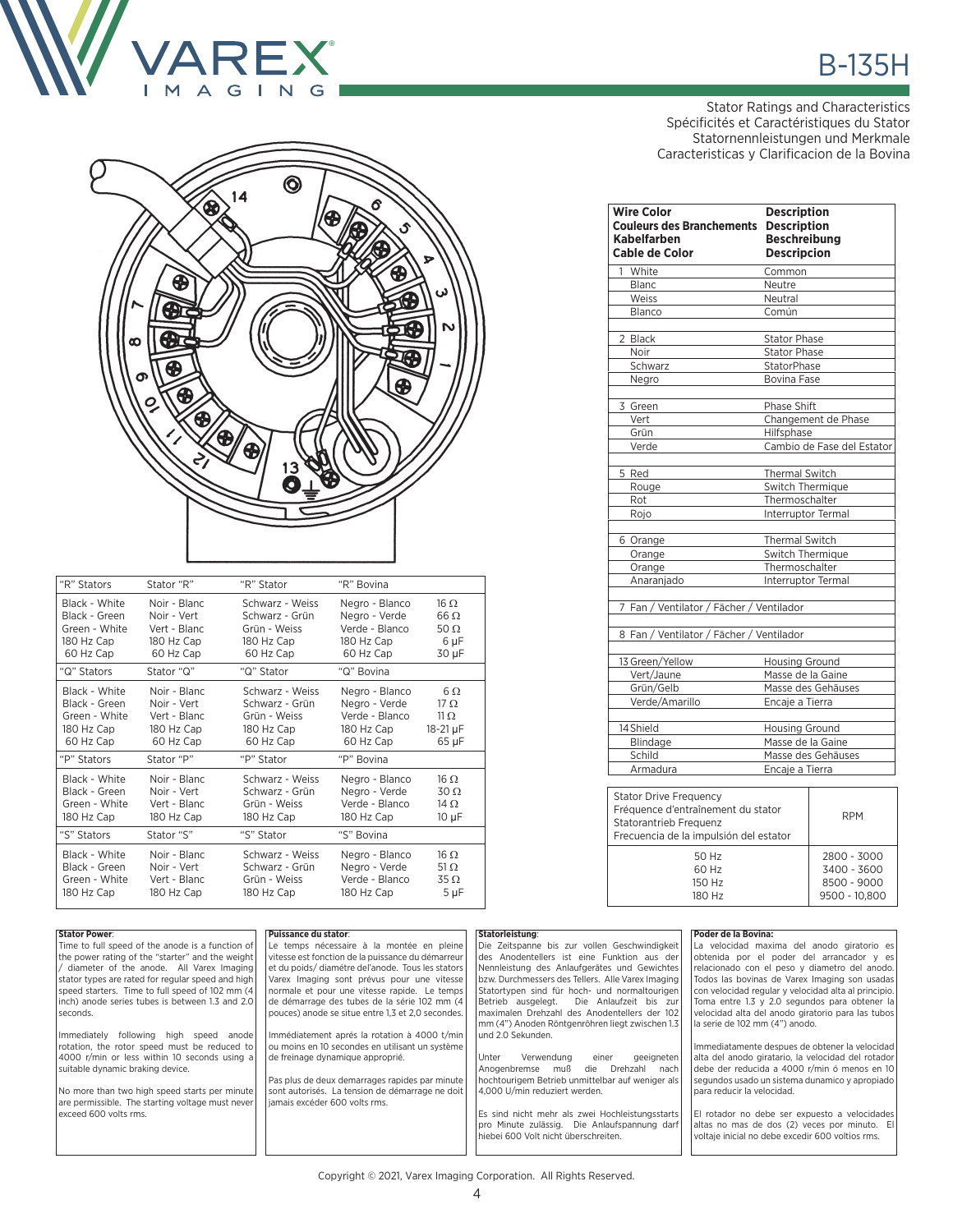

## $\bm{\circledcirc}$ 14 ® ⊕ € Ð Ð ന C 13 G

| "R" Stators   | Stator "R"   | "R" Stator      | "R" Bovina     |                 |
|---------------|--------------|-----------------|----------------|-----------------|
| Black - White | Noir - Blanc | Schwarz - Weiss | Negro - Blanco | 16 <sub>O</sub> |
| Black - Green | Noir - Vert  | Schwarz - Grün  | Negro - Verde  | $66 \Omega$     |
| Green - White | Vert - Blanc | Grün - Weiss    | Verde - Blanco | 50 $\Omega$     |
| 180 Hz Cap    | 180 Hz Cap   | 180 Hz Cap      | 180 Hz Cap     | 6 µF            |
| 60 Hz Cap     | 60 Hz Cap    | 60 Hz Cap       | 60 Hz Cap      | 30 µF           |
| "Q" Stators   | Stator "Q"   | "Q" Stator      | "Q" Bovina     |                 |
| Black - White | Noir - Blanc | Schwarz - Weiss | Negro - Blanco | 6.Q             |
| Black - Green | Noir - Vert  | Schwarz - Grün  | Negro - Verde  | $17 \Omega$     |
| Green - White | Vert - Blanc | Grün - Weiss    | Verde - Blanco | 11 <sub>O</sub> |
| 180 Hz Cap    | 180 Hz Cap   | 180 Hz Cap      | 180 Hz Cap     | 18-21 µF        |
| 60 Hz Cap     | 60 Hz Cap    | 60 Hz Cap       | 60 Hz Cap      | 65 µF           |
| "P" Stators   | Stator "P"   | "P" Stator      | "P" Bovina     |                 |
| Black - White | Noir - Blanc | Schwarz - Weiss | Negro - Blanco | $16 \Omega$     |
| Black - Green | Noir - Vert  | Schwarz - Grün  | Negro - Verde  | $30\Omega$      |
| Green - White | Vert - Blanc | Grün - Weiss    | Verde - Blanco | 14 $\Omega$     |
| 180 Hz Cap    | 180 Hz Cap   | 180 Hz Cap      | 180 Hz Cap     | $10 \mu F$      |
| "S" Stators   | Stator "S"   | "S" Stator      | "S" Bovina     |                 |
| Black - White | Noir - Blanc | Schwarz - Weiss | Negro - Blanco | $16 \Omega$     |
| Black - Green | Noir - Vert  | Schwarz - Grün  | Negro - Verde  | 51 $\Omega$     |
| Green - White | Vert - Blanc | Grün - Weiss    | Verde - Blanco | $35 \Omega$     |
| 180 Hz Cap    | 180 Hz Cap   | 180 Hz Cap      | 180 Hz Cap     | $5 \mu F$       |

# **B-135H**

Stator Ratings and Characteristics Spécificités et Caractéristiques du Stator Statornennleistungen und Merkmale Caracteristicas y Clarificacion de la Bovina

| <b>Wire Color</b><br><b>Couleurs des Branchements</b><br><b>Kabelfarben</b><br><b>Cable de Color</b>                                    | <b>Description</b><br><b>Description</b><br><b>Beschreibung</b><br><b>Descripcion</b> |                                                            |
|-----------------------------------------------------------------------------------------------------------------------------------------|---------------------------------------------------------------------------------------|------------------------------------------------------------|
| 1 White                                                                                                                                 | Common                                                                                |                                                            |
| Blanc                                                                                                                                   | Neutre                                                                                |                                                            |
| Weiss                                                                                                                                   | Neutral                                                                               |                                                            |
| Blanco                                                                                                                                  | Común                                                                                 |                                                            |
| 2 Black                                                                                                                                 | <b>Stator Phase</b>                                                                   |                                                            |
| Noir                                                                                                                                    | <b>Stator Phase</b>                                                                   |                                                            |
| Schwarz                                                                                                                                 | StatorPhase                                                                           |                                                            |
| Negro                                                                                                                                   | Bovina Fase                                                                           |                                                            |
| 3 Green                                                                                                                                 | Phase Shift                                                                           |                                                            |
| Vert                                                                                                                                    |                                                                                       | Changement de Phase                                        |
| Grün                                                                                                                                    | Hilfsphase                                                                            |                                                            |
| Verde                                                                                                                                   |                                                                                       | Cambio de Fase del Estator                                 |
| 5 Red                                                                                                                                   | <b>Thermal Switch</b>                                                                 |                                                            |
| Rouge                                                                                                                                   | Switch Thermique                                                                      |                                                            |
| Rot                                                                                                                                     | Thermoschalter                                                                        |                                                            |
| Rojo                                                                                                                                    | Interruptor Termal                                                                    |                                                            |
| 6 Orange                                                                                                                                | <b>Thermal Switch</b>                                                                 |                                                            |
| Orange                                                                                                                                  | Switch Thermique                                                                      |                                                            |
| Orange                                                                                                                                  | Thermoschalter                                                                        |                                                            |
| Anaranjado                                                                                                                              | Interruptor Termal                                                                    |                                                            |
| 7 Fan / Ventilator / Fächer / Ventilador                                                                                                |                                                                                       |                                                            |
| 8 Fan / Ventilator / Fächer / Ventilador                                                                                                |                                                                                       |                                                            |
| 13 Green/Yellow                                                                                                                         | Housing Ground                                                                        |                                                            |
| Vert/Jaune                                                                                                                              | Masse de la Gaine                                                                     |                                                            |
| Grün/Gelb                                                                                                                               | Masse des Gehäuses                                                                    |                                                            |
| Verde/Amarillo                                                                                                                          | Encaje a Tierra                                                                       |                                                            |
| 14 Shield                                                                                                                               | Housing Ground                                                                        |                                                            |
| Blindage                                                                                                                                | Masse de la Gaine                                                                     |                                                            |
| Schild                                                                                                                                  | Masse des Gehäuses                                                                    |                                                            |
| Armadura                                                                                                                                | Encaje a Tierra                                                                       |                                                            |
| <b>Stator Drive Frequency</b><br>Fréquence d'entraînement du stator<br>Statorantrieb Frequenz<br>Frecuencia de la impulsión del estator |                                                                                       | <b>RPM</b>                                                 |
| 50 Hz<br>60 Hz<br>150 Hz<br>180 Hz                                                                                                      |                                                                                       | 2800 - 3000<br>3400 - 3600<br>8500 - 9000<br>9500 - 10.800 |

### **Stator Power**: Time to full speed of the anode is a function of the power rating of the "starter" and the weight / diameter of the anode. All Varex Imaging stator types are rated for regular speed and high speed starters. Time to full speed of 102 mm (4 inch) anode series tubes is between 1.3 and 2.0 seconds. Immediately following high speed anode rotation, the rotor speed must be reduced to 4000 r/min or less within 10 seconds using a suitable dynamic braking device. No more than two high speed starts per minute are permissible. The starting voltage must never exceed 600 volts rms. **Puissance du stator**: Le temps nécessaire à la montée en pleine vitesse est fonction de la puissance du démarreur et du poids/ diamétre del'anode. Tous les stators Varex Imaging sont prévus pour une vitesse normale et pour une vitesse rapide. Le temps de démarrage des tubes de la série 102 mm (4 pouces) anode se situe entre 1,3 et 2,0 secondes. Immédiatement aprés la rotation à 4000 t/min ou moins en 10 secondes en utilisant un système de freinage dynamique approprié. Pas plus de deux demarrages rapides par minute sont autorisés. La tension de démarrage ne doit jamais excéder 600 volts rms. **Statorleistung**: Die Zeitspanne bis zur vollen Geschwindigkeit des Anodentellers ist eine Funktion aus der Nennleistung des Anlaufgerätes und Gewichtes bzw. Durchmessers des Tellers. Alle Varex Imaging Statortypen sind für hoch- und normaltourigen<br>Betrieb ausgelegt. Die Anlaufzeit bis zur Die Anlaufzeit bis zur maximalen Drehzahl des Anodentellers der 102 mm (4") Anoden Röntgenröhren liegt zwischen 1.3 und 2.0 Sekunden. Unter Verwendung einer geeigneten Anogenbremse muß die Drehzahl nach hochtourigem Betrieb unmittelbar auf weniger als 4,000 U/min reduziert werden. Es sind nicht mehr als zwei Hochleistungsstarts pro Minute zulässig. Die Anlaufspannung darf hiebei 600 Volt nicht überschreiten. **Poder de la Bovina:** La velocidad maxima del anodo giratorio es obtenida por el poder del arrancador y es relacionado con el peso y diametro del anodo. Todos las bovinas de Varex Imaging son usadas con velocidad regular y velocidad alta al principio. Toma entre 1.3 y 2.0 segundos para obtener la velocidad alta del anodo giratorio para las tubos la serie de 102 mm (4") anodo. nmediatamente despues de obtener la velocidad alta del anodo giratario, la velocidad del rotador debe der reducida a 4000 r/min ó menos en 10 segundos usado un sistema dunamico y apropiado para reducir la velocidad. El rotador no debe ser expuesto a velocidades altas no mas de dos (2) veces por minuto. El voltaje inicial no debe excedir 600 voltios rms.

Copyright © 2021, Varex Imaging Corporation. All Rights Reserved.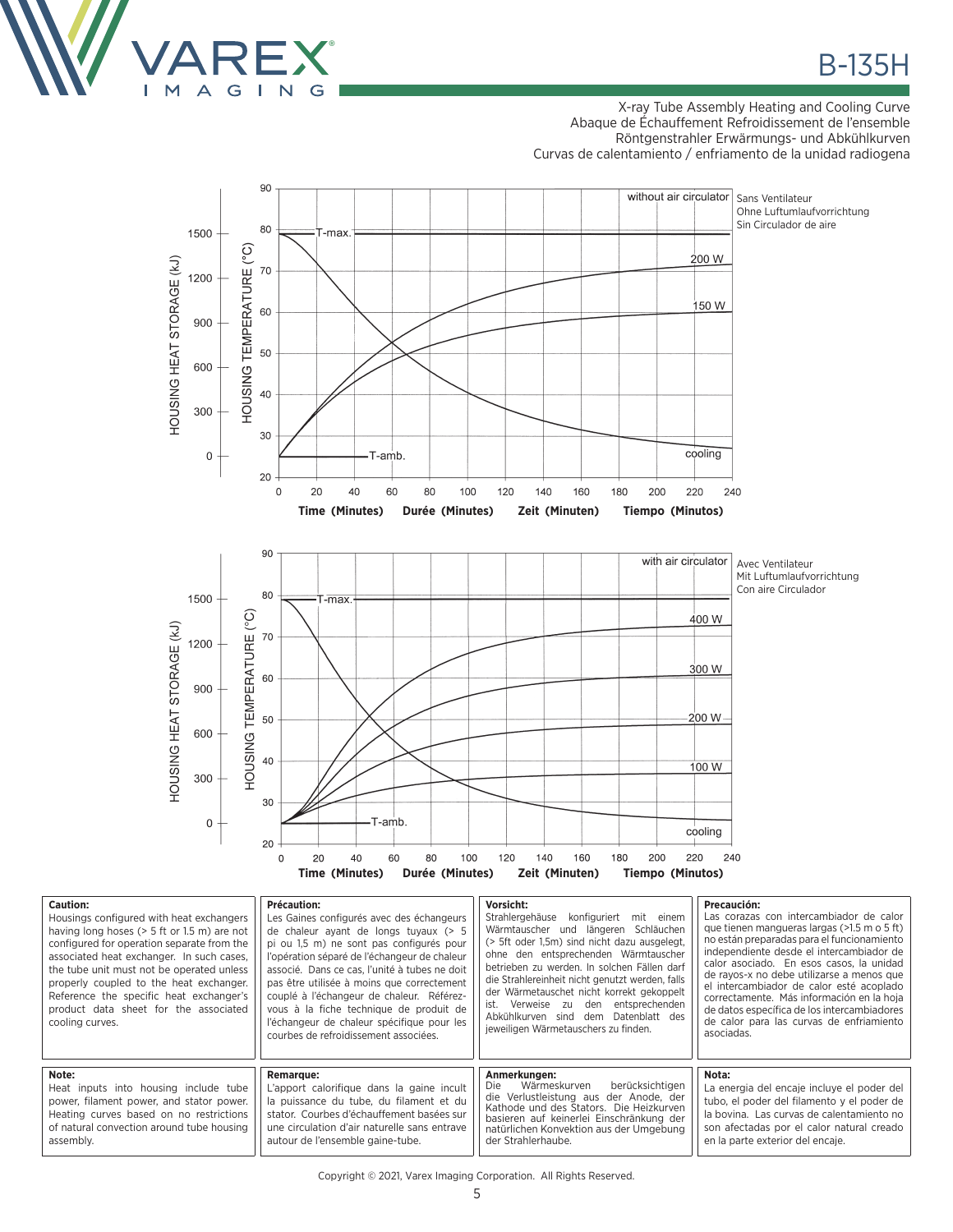

**Caution:**

### X-ray Tube Assembly Heating and Cooling Curve Abaque de Échauffement Refroidissement de l'ensemble Röntgenstrahler Erwärmungs- und Abkühlkurven Curvas de calentamiento / enfriamento de la unidad radiogena



| Gaution.<br>Housings configured with heat exchangers<br>having long hoses $(> 5 ft or 1.5 m)$ are not<br>configured for operation separate from the<br>associated heat exchanger. In such cases,<br>the tube unit must not be operated unless<br>properly coupled to the heat exchanger.<br>Reference the specific heat exchanger's<br>product data sheet for the associated<br>cooling curves. | Precaution.<br>Les Gaines configurés avec des échangeurs<br>de chaleur avant de longs tuvaux (> 5<br>pi ou 1.5 m) ne sont pas configurés pour<br>l'opération séparé de l'échangeur de chaleur<br>associé. Dans ce cas. l'unité à tubes ne doit<br>pas être utilisée à moins que correctement<br>couplé à l'échangeur de chaleur. Référez-<br>vous à la fiche technique de produit de<br>l'échangeur de chaleur spécifique pour les<br>courbes de refroidissement associées. | VOISILIIL.<br>Strahlergehäuse<br>konfiguriert<br>mit einem<br>Wärmtauscher und längeren Schläuchen<br>(> 5ft oder 1.5m) sind nicht dazu ausgelegt.<br>ohne den entsprechenden Wärmtauscher<br>betrieben zu werden. In solchen Fällen darf<br>die Strahlereinheit nicht genutzt werden, falls<br>der Wärmetauschet nicht korrekt gekoppelt<br>ist. Verweise zu den entsprechenden<br>Abkühlkurven sind dem Datenblatt des<br>jeweiligen Wärmetauschers zu finden. | Precaucion.<br>Las corazas con intercambiador de calor<br>que tienen mangueras largas (>1.5 m o 5 ft)<br>no están preparadas para el funcionamiento<br>independiente desde el intercambiador de<br>calor asociado. En esos casos, la unidad<br>de rayos-x no debe utilizarse a menos que<br>el intercambiador de calor esté acoplado<br>correctamente. Más información en la hoja<br>de datos específica de los intercambiadores<br>de calor para las curvas de enfriamiento<br>asociadas. |
|-------------------------------------------------------------------------------------------------------------------------------------------------------------------------------------------------------------------------------------------------------------------------------------------------------------------------------------------------------------------------------------------------|-----------------------------------------------------------------------------------------------------------------------------------------------------------------------------------------------------------------------------------------------------------------------------------------------------------------------------------------------------------------------------------------------------------------------------------------------------------------------------|------------------------------------------------------------------------------------------------------------------------------------------------------------------------------------------------------------------------------------------------------------------------------------------------------------------------------------------------------------------------------------------------------------------------------------------------------------------|--------------------------------------------------------------------------------------------------------------------------------------------------------------------------------------------------------------------------------------------------------------------------------------------------------------------------------------------------------------------------------------------------------------------------------------------------------------------------------------------|
| Note:<br>Heat inputs into housing include tube<br>power, filament power, and stator power.<br>Heating curves based on no restrictions<br>of natural convection around tube housing<br>assembly.                                                                                                                                                                                                 | <b>Remarque:</b><br>L'apport calorifique dans la gaine incult<br>la puissance du tube, du filament et du<br>stator. Courbes d'échauffement basées sur<br>une circulation d'air naturelle sans entrave<br>autour de l'ensemble gaine-tube.                                                                                                                                                                                                                                   | Anmerkungen:<br>berücksichtigen<br>Wärmeskurven<br>Die<br>die Verlustleistung aus der Anode. der<br>Kathode und des Stators. Die Heizkurven<br>basieren auf keinerlei Einschränkung der<br>natürlichen Konvektion aus der Umgebung<br>der Strahlerhaube.                                                                                                                                                                                                         | Nota:<br>La energia del encaje incluye el poder del<br>tubo, el poder del filamento y el poder de<br>la bovina. Las curvas de calentamiento no<br>son afectadas por el calor natural creado<br>en la parte exterior del encaje.                                                                                                                                                                                                                                                            |

### Copyright © 2021, Varex Imaging Corporation. All Rights Reserved.